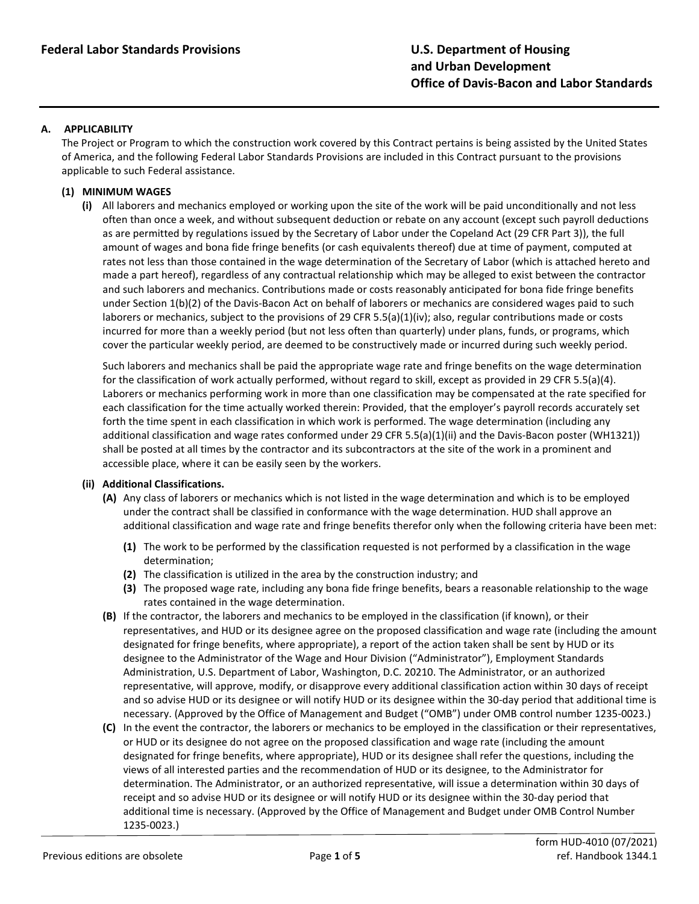#### **A. APPLICABILITY**

The Project or Program to which the construction work covered by this Contract pertains is being assisted by the United States of America, and the following Federal Labor Standards Provisions are included in this Contract pursuant to the provisions applicable to such Federal assistance.

### **(1) MINIMUM WAGES**

**(i)** All laborers and mechanics employed or working upon the site of the work will be paid unconditionally and not less often than once a week, and without subsequent deduction or rebate on any account (except such payroll deductions as are permitted by regulations issued by the Secretary of Labor under the Copeland Act (29 CFR Part 3)), the full amount of wages and bona fide fringe benefits (or cash equivalents thereof) due at time of payment, computed at rates not less than those contained in the wage determination of the Secretary of Labor (which is attached hereto and made a part hereof), regardless of any contractual relationship which may be alleged to exist between the contractor and such laborers and mechanics. Contributions made or costs reasonably anticipated for bona fide fringe benefits under Section 1(b)(2) of the Davis-Bacon Act on behalf of laborers or mechanics are considered wages paid to such laborers or mechanics, subject to the provisions of 29 CFR 5.5(a)(1)(iv); also, regular contributions made or costs incurred for more than a weekly period (but not less often than quarterly) under plans, funds, or programs, which cover the particular weekly period, are deemed to be constructively made or incurred during such weekly period.

Such laborers and mechanics shall be paid the appropriate wage rate and fringe benefits on the wage determination for the classification of work actually performed, without regard to skill, except as provided in 29 CFR 5.5(a)(4). Laborers or mechanics performing work in more than one classification may be compensated at the rate specified for each classification for the time actually worked therein: Provided, that the employer's payroll records accurately set forth the time spent in each classification in which work is performed. The wage determination (including any additional classification and wage rates conformed under 29 CFR 5.5(a)(1)(ii) and the Davis-Bacon poster (WH1321)) shall be posted at all times by the contractor and its subcontractors at the site of the work in a prominent and accessible place, where it can be easily seen by the workers.

#### **(ii) Additional Classifications.**

- **(A)** Any class of laborers or mechanics which is not listed in the wage determination and which is to be employed under the contract shall be classified in conformance with the wage determination. HUD shall approve an additional classification and wage rate and fringe benefits therefor only when the following criteria have been met:
	- **(1)** The work to be performed by the classification requested is not performed by a classification in the wage determination;
	- **(2)** The classification is utilized in the area by the construction industry; and
	- **(3)** The proposed wage rate, including any bona fide fringe benefits, bears a reasonable relationship to the wage rates contained in the wage determination.
- **(B)** If the contractor, the laborers and mechanics to be employed in the classification (if known), or their representatives, and HUD or its designee agree on the proposed classification and wage rate (including the amount designated for fringe benefits, where appropriate), a report of the action taken shall be sent by HUD or its designee to the Administrator of the Wage and Hour Division ("Administrator"), Employment Standards Administration, U.S. Department of Labor, Washington, D.C. 20210. The Administrator, or an authorized representative, will approve, modify, or disapprove every additional classification action within 30 days of receipt and so advise HUD or its designee or will notify HUD or its designee within the 30-day period that additional time is necessary. (Approved by the Office of Management and Budget ("OMB") under OMB control number 1235-0023.)
- **(C)** In the event the contractor, the laborers or mechanics to be employed in the classification or their representatives, or HUD or its designee do not agree on the proposed classification and wage rate (including the amount designated for fringe benefits, where appropriate), HUD or its designee shall refer the questions, including the views of all interested parties and the recommendation of HUD or its designee, to the Administrator for determination. The Administrator, or an authorized representative, will issue a determination within 30 days of receipt and so advise HUD or its designee or will notify HUD or its designee within the 30-day period that additional time is necessary. (Approved by the Office of Management and Budget under OMB Control Number 1235-0023.)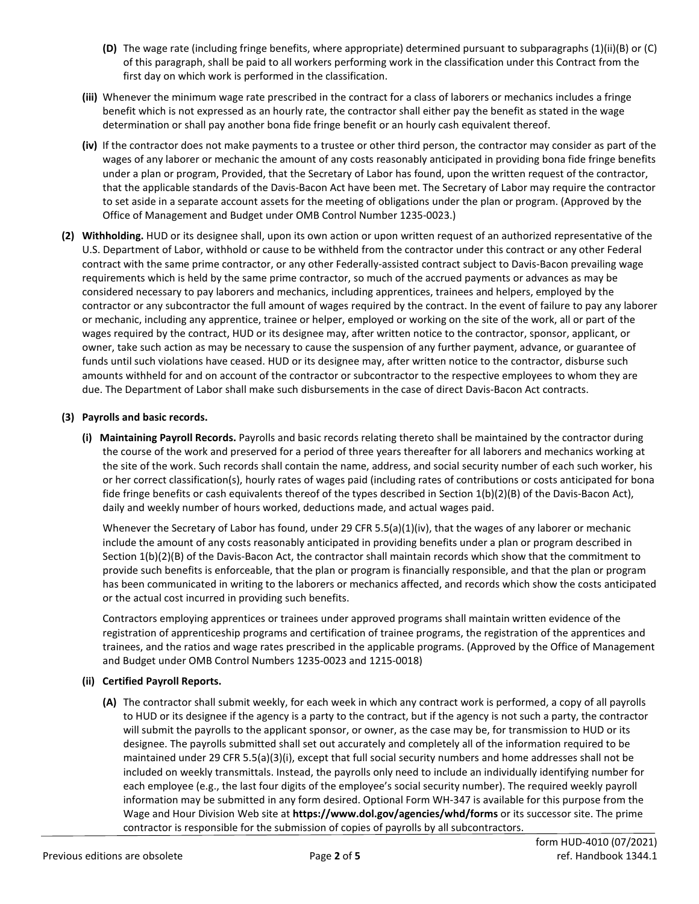- **(D)** The wage rate (including fringe benefits, where appropriate) determined pursuant to subparagraphs (1)(ii)(B) or (C) of this paragraph, shall be paid to all workers performing work in the classification under this Contract from the first day on which work is performed in the classification.
- **(iii)** Whenever the minimum wage rate prescribed in the contract for a class of laborers or mechanics includes a fringe benefit which is not expressed as an hourly rate, the contractor shall either pay the benefit as stated in the wage determination or shall pay another bona fide fringe benefit or an hourly cash equivalent thereof.
- **(iv)** If the contractor does not make payments to a trustee or other third person, the contractor may consider as part of the wages of any laborer or mechanic the amount of any costs reasonably anticipated in providing bona fide fringe benefits under a plan or program, Provided, that the Secretary of Labor has found, upon the written request of the contractor, that the applicable standards of the Davis-Bacon Act have been met. The Secretary of Labor may require the contractor to set aside in a separate account assets for the meeting of obligations under the plan or program. (Approved by the Office of Management and Budget under OMB Control Number 1235-0023.)
- **(2) Withholding.** HUD or its designee shall, upon its own action or upon written request of an authorized representative of the U.S. Department of Labor, withhold or cause to be withheld from the contractor under this contract or any other Federal contract with the same prime contractor, or any other Federally-assisted contract subject to Davis-Bacon prevailing wage requirements which is held by the same prime contractor, so much of the accrued payments or advances as may be considered necessary to pay laborers and mechanics, including apprentices, trainees and helpers, employed by the contractor or any subcontractor the full amount of wages required by the contract. In the event of failure to pay any laborer or mechanic, including any apprentice, trainee or helper, employed or working on the site of the work, all or part of the wages required by the contract, HUD or its designee may, after written notice to the contractor, sponsor, applicant, or owner, take such action as may be necessary to cause the suspension of any further payment, advance, or guarantee of funds until such violations have ceased. HUD or its designee may, after written notice to the contractor, disburse such amounts withheld for and on account of the contractor or subcontractor to the respective employees to whom they are due. The Department of Labor shall make such disbursements in the case of direct Davis-Bacon Act contracts.

#### **(3) Payrolls and basic records.**

**(i) Maintaining Payroll Records.** Payrolls and basic records relating thereto shall be maintained by the contractor during the course of the work and preserved for a period of three years thereafter for all laborers and mechanics working at the site of the work. Such records shall contain the name, address, and social security number of each such worker, his or her correct classification(s), hourly rates of wages paid (including rates of contributions or costs anticipated for bona fide fringe benefits or cash equivalents thereof of the types described in Section 1(b)(2)(B) of the Davis-Bacon Act), daily and weekly number of hours worked, deductions made, and actual wages paid.

Whenever the Secretary of Labor has found, under 29 CFR 5.5(a)(1)(iv), that the wages of any laborer or mechanic include the amount of any costs reasonably anticipated in providing benefits under a plan or program described in Section 1(b)(2)(B) of the Davis-Bacon Act, the contractor shall maintain records which show that the commitment to provide such benefits is enforceable, that the plan or program is financially responsible, and that the plan or program has been communicated in writing to the laborers or mechanics affected, and records which show the costs anticipated or the actual cost incurred in providing such benefits.

Contractors employing apprentices or trainees under approved programs shall maintain written evidence of the registration of apprenticeship programs and certification of trainee programs, the registration of the apprentices and trainees, and the ratios and wage rates prescribed in the applicable programs. (Approved by the Office of Management and Budget under OMB Control Numbers 1235-0023 and 1215-0018)

#### **(ii) Certified Payroll Reports.**

**(A)** The contractor shall submit weekly, for each week in which any contract work is performed, a copy of all payrolls to HUD or its designee if the agency is a party to the contract, but if the agency is not such a party, the contractor will submit the payrolls to the applicant sponsor, or owner, as the case may be, for transmission to HUD or its designee. The payrolls submitted shall set out accurately and completely all of the information required to be maintained under 29 CFR 5.5(a)(3)(i), except that full social security numbers and home addresses shall not be included on weekly transmittals. Instead, the payrolls only need to include an individually identifying number for each employee (e.g., the last four digits of the employee's social security number). The required weekly payroll information may be submitted in any form desired. Optional Form WH-347 is available for this purpose from the Wage and Hour Division Web site at **https://www.dol.gov/agencies/whd/forms** or its successor site. The prime contractor is responsible for the submission of copies of payrolls by all subcontractors.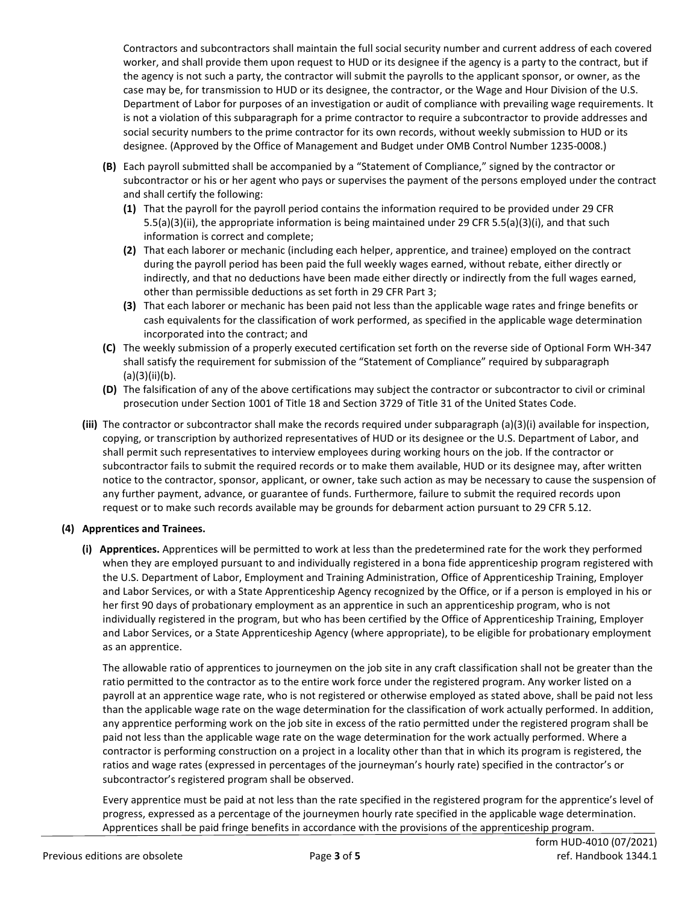Contractors and subcontractors shall maintain the full social security number and current address of each covered worker, and shall provide them upon request to HUD or its designee if the agency is a party to the contract, but if the agency is not such a party, the contractor will submit the payrolls to the applicant sponsor, or owner, as the case may be, for transmission to HUD or its designee, the contractor, or the Wage and Hour Division of the U.S. Department of Labor for purposes of an investigation or audit of compliance with prevailing wage requirements. It is not a violation of this subparagraph for a prime contractor to require a subcontractor to provide addresses and social security numbers to the prime contractor for its own records, without weekly submission to HUD or its designee. (Approved by the Office of Management and Budget under OMB Control Number 1235-0008.)

- **(B)** Each payroll submitted shall be accompanied by a "Statement of Compliance," signed by the contractor or subcontractor or his or her agent who pays or supervises the payment of the persons employed under the contract and shall certify the following:
	- **(1)** That the payroll for the payroll period contains the information required to be provided under 29 CFR 5.5(a)(3)(ii), the appropriate information is being maintained under 29 CFR 5.5(a)(3)(i), and that such information is correct and complete;
	- **(2)** That each laborer or mechanic (including each helper, apprentice, and trainee) employed on the contract during the payroll period has been paid the full weekly wages earned, without rebate, either directly or indirectly, and that no deductions have been made either directly or indirectly from the full wages earned, other than permissible deductions as set forth in 29 CFR Part 3;
	- **(3)** That each laborer or mechanic has been paid not less than the applicable wage rates and fringe benefits or cash equivalents for the classification of work performed, as specified in the applicable wage determination incorporated into the contract; and
- **(C)** The weekly submission of a properly executed certification set forth on the reverse side of Optional Form WH-347 shall satisfy the requirement for submission of the "Statement of Compliance" required by subparagraph (a)(3)(ii)(b).
- **(D)** The falsification of any of the above certifications may subject the contractor or subcontractor to civil or criminal prosecution under Section 1001 of Title 18 and Section 3729 of Title 31 of the United States Code.
- **(iii)** The contractor or subcontractor shall make the records required under subparagraph (a)(3)(i) available for inspection, copying, or transcription by authorized representatives of HUD or its designee or the U.S. Department of Labor, and shall permit such representatives to interview employees during working hours on the job. If the contractor or subcontractor fails to submit the required records or to make them available, HUD or its designee may, after written notice to the contractor, sponsor, applicant, or owner, take such action as may be necessary to cause the suspension of any further payment, advance, or guarantee of funds. Furthermore, failure to submit the required records upon request or to make such records available may be grounds for debarment action pursuant to 29 CFR 5.12.

# **(4) Apprentices and Trainees.**

**(i) Apprentices.** Apprentices will be permitted to work at less than the predetermined rate for the work they performed when they are employed pursuant to and individually registered in a bona fide apprenticeship program registered with the U.S. Department of Labor, Employment and Training Administration, Office of Apprenticeship Training, Employer and Labor Services, or with a State Apprenticeship Agency recognized by the Office, or if a person is employed in his or her first 90 days of probationary employment as an apprentice in such an apprenticeship program, who is not individually registered in the program, but who has been certified by the Office of Apprenticeship Training, Employer and Labor Services, or a State Apprenticeship Agency (where appropriate), to be eligible for probationary employment as an apprentice.

The allowable ratio of apprentices to journeymen on the job site in any craft classification shall not be greater than the ratio permitted to the contractor as to the entire work force under the registered program. Any worker listed on a payroll at an apprentice wage rate, who is not registered or otherwise employed as stated above, shall be paid not less than the applicable wage rate on the wage determination for the classification of work actually performed. In addition, any apprentice performing work on the job site in excess of the ratio permitted under the registered program shall be paid not less than the applicable wage rate on the wage determination for the work actually performed. Where a contractor is performing construction on a project in a locality other than that in which its program is registered, the ratios and wage rates (expressed in percentages of the journeyman's hourly rate) specified in the contractor's or subcontractor's registered program shall be observed.

Every apprentice must be paid at not less than the rate specified in the registered program for the apprentice's level of progress, expressed as a percentage of the journeymen hourly rate specified in the applicable wage determination. Apprentices shall be paid fringe benefits in accordance with the provisions of the apprenticeship program.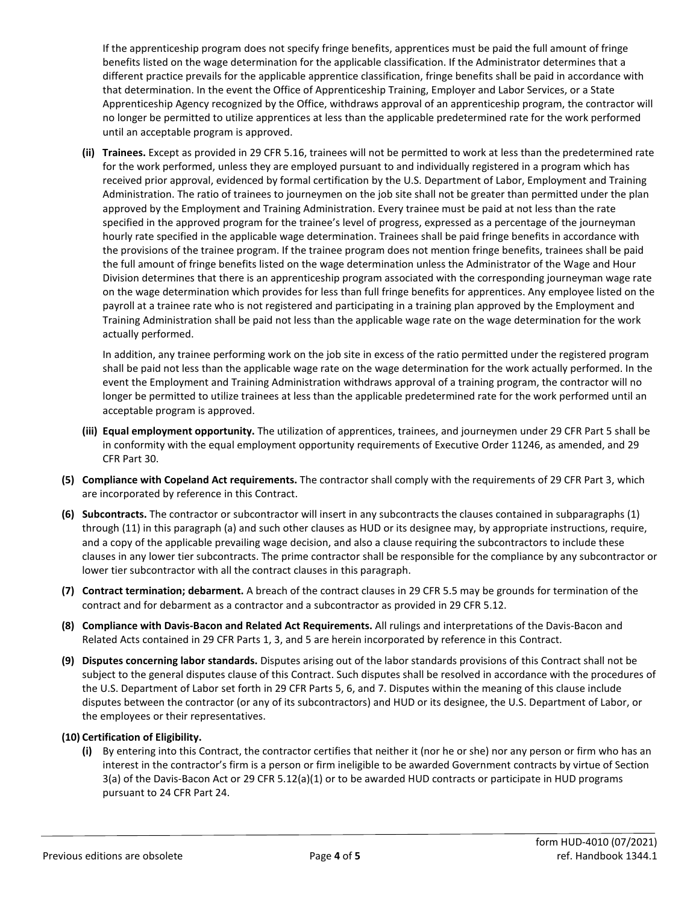If the apprenticeship program does not specify fringe benefits, apprentices must be paid the full amount of fringe benefits listed on the wage determination for the applicable classification. If the Administrator determines that a different practice prevails for the applicable apprentice classification, fringe benefits shall be paid in accordance with that determination. In the event the Office of Apprenticeship Training, Employer and Labor Services, or a State Apprenticeship Agency recognized by the Office, withdraws approval of an apprenticeship program, the contractor will no longer be permitted to utilize apprentices at less than the applicable predetermined rate for the work performed until an acceptable program is approved.

**(ii) Trainees.** Except as provided in 29 CFR 5.16, trainees will not be permitted to work at less than the predetermined rate for the work performed, unless they are employed pursuant to and individually registered in a program which has received prior approval, evidenced by formal certification by the U.S. Department of Labor, Employment and Training Administration. The ratio of trainees to journeymen on the job site shall not be greater than permitted under the plan approved by the Employment and Training Administration. Every trainee must be paid at not less than the rate specified in the approved program for the trainee's level of progress, expressed as a percentage of the journeyman hourly rate specified in the applicable wage determination. Trainees shall be paid fringe benefits in accordance with the provisions of the trainee program. If the trainee program does not mention fringe benefits, trainees shall be paid the full amount of fringe benefits listed on the wage determination unless the Administrator of the Wage and Hour Division determines that there is an apprenticeship program associated with the corresponding journeyman wage rate on the wage determination which provides for less than full fringe benefits for apprentices. Any employee listed on the payroll at a trainee rate who is not registered and participating in a training plan approved by the Employment and Training Administration shall be paid not less than the applicable wage rate on the wage determination for the work actually performed.

In addition, any trainee performing work on the job site in excess of the ratio permitted under the registered program shall be paid not less than the applicable wage rate on the wage determination for the work actually performed. In the event the Employment and Training Administration withdraws approval of a training program, the contractor will no longer be permitted to utilize trainees at less than the applicable predetermined rate for the work performed until an acceptable program is approved.

- **(iii) Equal employment opportunity.** The utilization of apprentices, trainees, and journeymen under 29 CFR Part 5 shall be in conformity with the equal employment opportunity requirements of Executive Order 11246, as amended, and 29 CFR Part 30.
- **(5) Compliance with Copeland Act requirements.** The contractor shall comply with the requirements of 29 CFR Part 3, which are incorporated by reference in this Contract.
- **(6) Subcontracts.** The contractor or subcontractor will insert in any subcontracts the clauses contained in subparagraphs (1) through (11) in this paragraph (a) and such other clauses as HUD or its designee may, by appropriate instructions, require, and a copy of the applicable prevailing wage decision, and also a clause requiring the subcontractors to include these clauses in any lower tier subcontracts. The prime contractor shall be responsible for the compliance by any subcontractor or lower tier subcontractor with all the contract clauses in this paragraph.
- **(7) Contract termination; debarment.** A breach of the contract clauses in 29 CFR 5.5 may be grounds for termination of the contract and for debarment as a contractor and a subcontractor as provided in 29 CFR 5.12.
- **(8) Compliance with Davis-Bacon and Related Act Requirements.** All rulings and interpretations of the Davis-Bacon and Related Acts contained in 29 CFR Parts 1, 3, and 5 are herein incorporated by reference in this Contract.
- **(9) Disputes concerning labor standards.** Disputes arising out of the labor standards provisions of this Contract shall not be subject to the general disputes clause of this Contract. Such disputes shall be resolved in accordance with the procedures of the U.S. Department of Labor set forth in 29 CFR Parts 5, 6, and 7. Disputes within the meaning of this clause include disputes between the contractor (or any of its subcontractors) and HUD or its designee, the U.S. Department of Labor, or the employees or their representatives.

#### **(10) Certification of Eligibility.**

**(i)** By entering into this Contract, the contractor certifies that neither it (nor he or she) nor any person or firm who has an interest in the contractor's firm is a person or firm ineligible to be awarded Government contracts by virtue of Section 3(a) of the Davis-Bacon Act or 29 CFR 5.12(a)(1) or to be awarded HUD contracts or participate in HUD programs pursuant to 24 CFR Part 24.